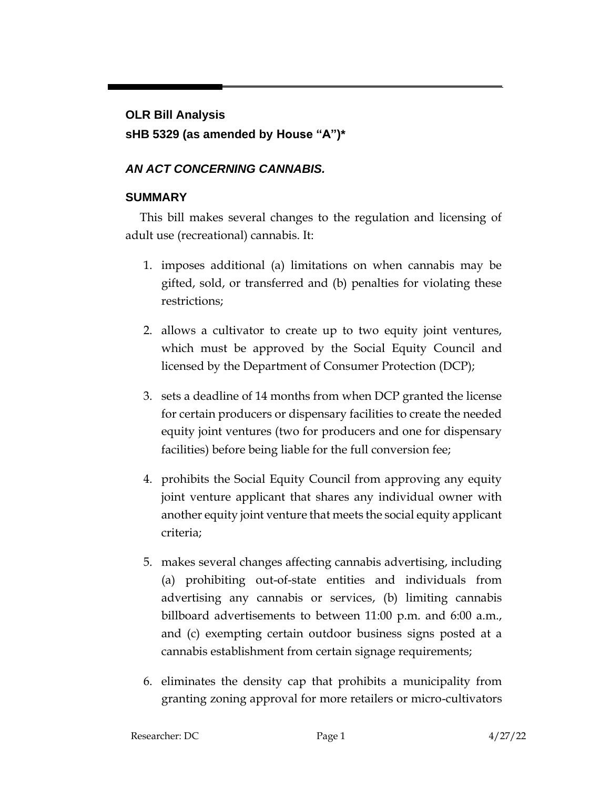## **OLR Bill Analysis**

# **sHB 5329 (as amended by House "A")\***

# *AN ACT CONCERNING CANNABIS.*

# **SUMMARY**

This bill makes several changes to the regulation and licensing of adult use (recreational) cannabis. It:

- 1. imposes additional (a) limitations on when cannabis may be gifted, sold, or transferred and (b) penalties for violating these restrictions;
- 2. allows a cultivator to create up to two equity joint ventures, which must be approved by the Social Equity Council and licensed by the Department of Consumer Protection (DCP);
- 3. sets a deadline of 14 months from when DCP granted the license for certain producers or dispensary facilities to create the needed equity joint ventures (two for producers and one for dispensary facilities) before being liable for the full conversion fee;
- 4. prohibits the Social Equity Council from approving any equity joint venture applicant that shares any individual owner with another equity joint venture that meets the social equity applicant criteria;
- 5. makes several changes affecting cannabis advertising, including (a) prohibiting out-of-state entities and individuals from advertising any cannabis or services, (b) limiting cannabis billboard advertisements to between 11:00 p.m. and 6:00 a.m., and (c) exempting certain outdoor business signs posted at a cannabis establishment from certain signage requirements;
- 6. eliminates the density cap that prohibits a municipality from granting zoning approval for more retailers or micro-cultivators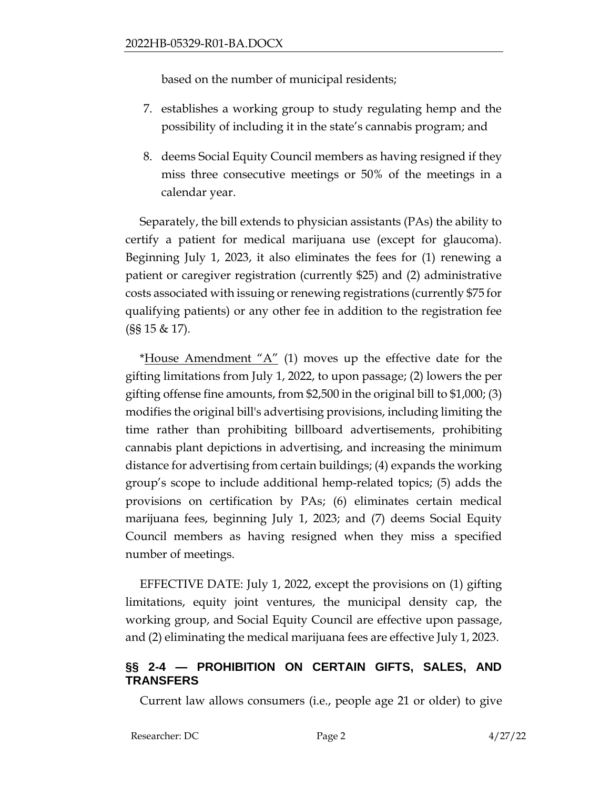based on the number of municipal residents;

- 7. establishes a working group to study regulating hemp and the possibility of including it in the state's cannabis program; and
- 8. deems Social Equity Council members as having resigned if they miss three consecutive meetings or 50% of the meetings in a calendar year.

Separately, the bill extends to physician assistants (PAs) the ability to certify a patient for medical marijuana use (except for glaucoma). Beginning July 1, 2023, it also eliminates the fees for (1) renewing a patient or caregiver registration (currently \$25) and (2) administrative costs associated with issuing or renewing registrations (currently \$75 for qualifying patients) or any other fee in addition to the registration fee (§§ 15 & 17).

\*House Amendment " $A$ " (1) moves up the effective date for the gifting limitations from July 1, 2022, to upon passage; (2) lowers the per gifting offense fine amounts, from \$2,500 in the original bill to \$1,000; (3) modifies the original bill's advertising provisions, including limiting the time rather than prohibiting billboard advertisements, prohibiting cannabis plant depictions in advertising, and increasing the minimum distance for advertising from certain buildings; (4) expands the working group's scope to include additional hemp-related topics; (5) adds the provisions on certification by PAs; (6) eliminates certain medical marijuana fees, beginning July 1, 2023; and (7) deems Social Equity Council members as having resigned when they miss a specified number of meetings.

EFFECTIVE DATE: July 1, 2022, except the provisions on (1) gifting limitations, equity joint ventures, the municipal density cap, the working group, and Social Equity Council are effective upon passage, and (2) eliminating the medical marijuana fees are effective July 1, 2023.

## **§§ 2-4 — PROHIBITION ON CERTAIN GIFTS, SALES, AND TRANSFERS**

Current law allows consumers (i.e., people age 21 or older) to give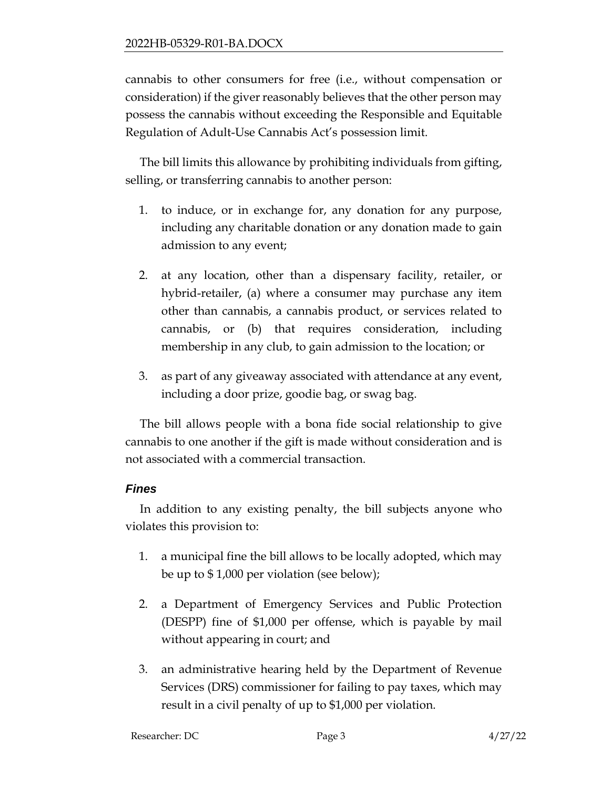cannabis to other consumers for free (i.e., without compensation or consideration) if the giver reasonably believes that the other person may possess the cannabis without exceeding the Responsible and Equitable Regulation of Adult-Use Cannabis Act's possession limit.

The bill limits this allowance by prohibiting individuals from gifting, selling, or transferring cannabis to another person:

- 1. to induce, or in exchange for, any donation for any purpose, including any charitable donation or any donation made to gain admission to any event;
- 2. at any location, other than a dispensary facility, retailer, or hybrid-retailer, (a) where a consumer may purchase any item other than cannabis, a cannabis product, or services related to cannabis, or (b) that requires consideration, including membership in any club, to gain admission to the location; or
- 3. as part of any giveaway associated with attendance at any event, including a door prize, goodie bag, or swag bag.

The bill allows people with a bona fide social relationship to give cannabis to one another if the gift is made without consideration and is not associated with a commercial transaction.

#### *Fines*

In addition to any existing penalty, the bill subjects anyone who violates this provision to:

- 1. a municipal fine the bill allows to be locally adopted, which may be up to \$ 1,000 per violation (see below);
- 2. a Department of Emergency Services and Public Protection (DESPP) fine of \$1,000 per offense, which is payable by mail without appearing in court; and
- 3. an administrative hearing held by the Department of Revenue Services (DRS) commissioner for failing to pay taxes, which may result in a civil penalty of up to \$1,000 per violation.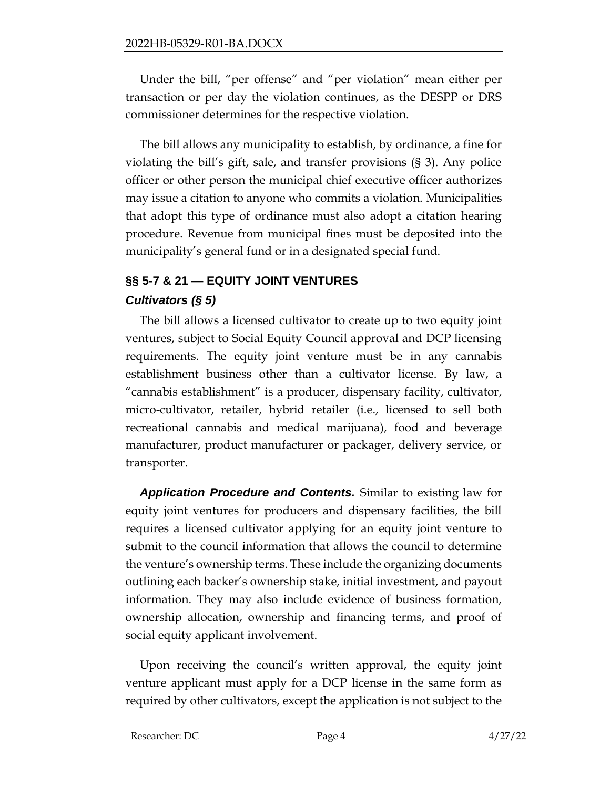Under the bill, "per offense" and "per violation" mean either per transaction or per day the violation continues, as the DESPP or DRS commissioner determines for the respective violation.

The bill allows any municipality to establish, by ordinance, a fine for violating the bill's gift, sale, and transfer provisions (§ 3). Any police officer or other person the municipal chief executive officer authorizes may issue a citation to anyone who commits a violation. Municipalities that adopt this type of ordinance must also adopt a citation hearing procedure. Revenue from municipal fines must be deposited into the municipality's general fund or in a designated special fund.

# **§§ 5-7 & 21 — EQUITY JOINT VENTURES** *Cultivators (§ 5)*

The bill allows a licensed cultivator to create up to two equity joint ventures, subject to Social Equity Council approval and DCP licensing requirements. The equity joint venture must be in any cannabis establishment business other than a cultivator license. By law, a "cannabis establishment" is a producer, dispensary facility, cultivator, micro-cultivator, retailer, hybrid retailer (i.e., licensed to sell both recreational cannabis and medical marijuana), food and beverage manufacturer, product manufacturer or packager, delivery service, or transporter.

*Application Procedure and Contents.* Similar to existing law for equity joint ventures for producers and dispensary facilities, the bill requires a licensed cultivator applying for an equity joint venture to submit to the council information that allows the council to determine the venture's ownership terms. These include the organizing documents outlining each backer's ownership stake, initial investment, and payout information. They may also include evidence of business formation, ownership allocation, ownership and financing terms, and proof of social equity applicant involvement.

Upon receiving the council's written approval, the equity joint venture applicant must apply for a DCP license in the same form as required by other cultivators, except the application is not subject to the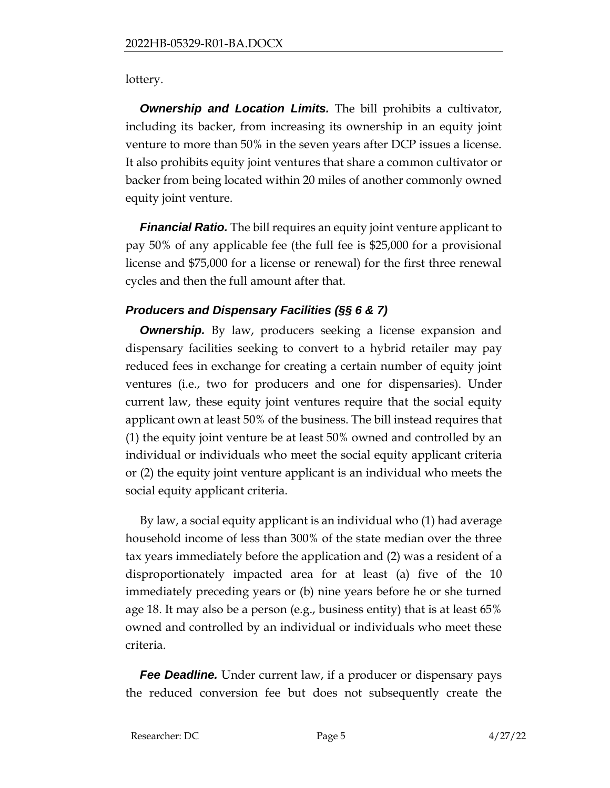lottery.

**Ownership and Location Limits.** The bill prohibits a cultivator, including its backer, from increasing its ownership in an equity joint venture to more than 50% in the seven years after DCP issues a license. It also prohibits equity joint ventures that share a common cultivator or backer from being located within 20 miles of another commonly owned equity joint venture.

*Financial Ratio.* The bill requires an equity joint venture applicant to pay 50% of any applicable fee (the full fee is \$25,000 for a provisional license and \$75,000 for a license or renewal) for the first three renewal cycles and then the full amount after that.

# *Producers and Dispensary Facilities (§§ 6 & 7)*

**Ownership.** By law, producers seeking a license expansion and dispensary facilities seeking to convert to a hybrid retailer may pay reduced fees in exchange for creating a certain number of equity joint ventures (i.e., two for producers and one for dispensaries). Under current law, these equity joint ventures require that the social equity applicant own at least 50% of the business. The bill instead requires that (1) the equity joint venture be at least 50% owned and controlled by an individual or individuals who meet the social equity applicant criteria or (2) the equity joint venture applicant is an individual who meets the social equity applicant criteria.

By law, a social equity applicant is an individual who (1) had average household income of less than 300% of the state median over the three tax years immediately before the application and (2) was a resident of a disproportionately impacted area for at least (a) five of the 10 immediately preceding years or (b) nine years before he or she turned age 18. It may also be a person (e.g., business entity) that is at least 65% owned and controlled by an individual or individuals who meet these criteria.

*Fee Deadline.* Under current law, if a producer or dispensary pays the reduced conversion fee but does not subsequently create the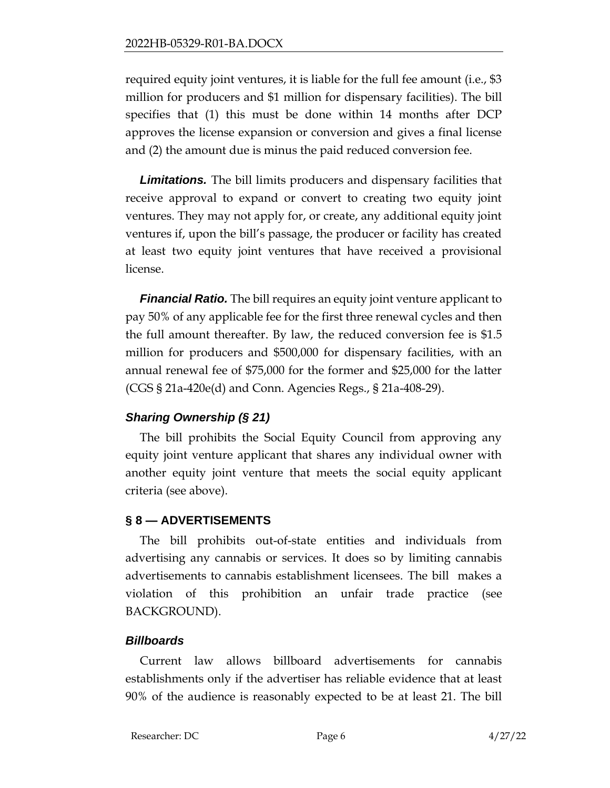required equity joint ventures, it is liable for the full fee amount (i.e., \$3 million for producers and \$1 million for dispensary facilities). The bill specifies that (1) this must be done within 14 months after DCP approves the license expansion or conversion and gives a final license and (2) the amount due is minus the paid reduced conversion fee.

*Limitations.* The bill limits producers and dispensary facilities that receive approval to expand or convert to creating two equity joint ventures. They may not apply for, or create, any additional equity joint ventures if, upon the bill's passage, the producer or facility has created at least two equity joint ventures that have received a provisional license.

*Financial Ratio.* The bill requires an equity joint venture applicant to pay 50% of any applicable fee for the first three renewal cycles and then the full amount thereafter. By law, the reduced conversion fee is \$1.5 million for producers and \$500,000 for dispensary facilities, with an annual renewal fee of \$75,000 for the former and \$25,000 for the latter (CGS § 21a-420e(d) and Conn. Agencies Regs., § 21a-408-29).

# *Sharing Ownership (§ 21)*

The bill prohibits the Social Equity Council from approving any equity joint venture applicant that shares any individual owner with another equity joint venture that meets the social equity applicant criteria (see above).

# **§ 8 — ADVERTISEMENTS**

The bill prohibits out-of-state entities and individuals from advertising any cannabis or services. It does so by limiting cannabis advertisements to cannabis establishment licensees. The bill makes a violation of this prohibition an unfair trade practice (see BACKGROUND).

#### *Billboards*

Current law allows billboard advertisements for cannabis establishments only if the advertiser has reliable evidence that at least 90% of the audience is reasonably expected to be at least 21. The bill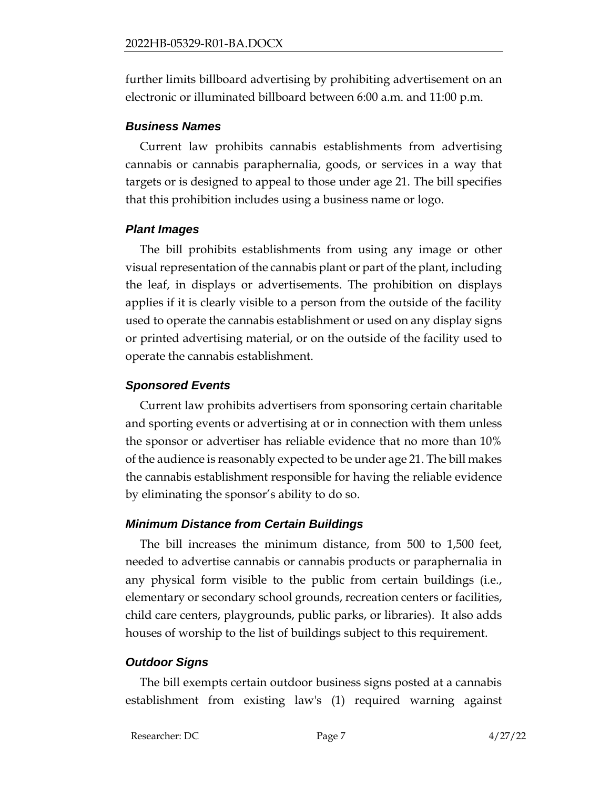further limits billboard advertising by prohibiting advertisement on an electronic or illuminated billboard between 6:00 a.m. and 11:00 p.m.

#### *Business Names*

Current law prohibits cannabis establishments from advertising cannabis or cannabis paraphernalia, goods, or services in a way that targets or is designed to appeal to those under age 21. The bill specifies that this prohibition includes using a business name or logo.

#### *Plant Images*

The bill prohibits establishments from using any image or other visual representation of the cannabis plant or part of the plant, including the leaf, in displays or advertisements. The prohibition on displays applies if it is clearly visible to a person from the outside of the facility used to operate the cannabis establishment or used on any display signs or printed advertising material, or on the outside of the facility used to operate the cannabis establishment.

#### *Sponsored Events*

Current law prohibits advertisers from sponsoring certain charitable and sporting events or advertising at or in connection with them unless the sponsor or advertiser has reliable evidence that no more than 10% of the audience is reasonably expected to be under age 21. The bill makes the cannabis establishment responsible for having the reliable evidence by eliminating the sponsor's ability to do so.

#### *Minimum Distance from Certain Buildings*

The bill increases the minimum distance, from 500 to 1,500 feet, needed to advertise cannabis or cannabis products or paraphernalia in any physical form visible to the public from certain buildings (i.e., elementary or secondary school grounds, recreation centers or facilities, child care centers, playgrounds, public parks, or libraries). It also adds houses of worship to the list of buildings subject to this requirement.

#### *Outdoor Signs*

The bill exempts certain outdoor business signs posted at a cannabis establishment from existing law's (1) required warning against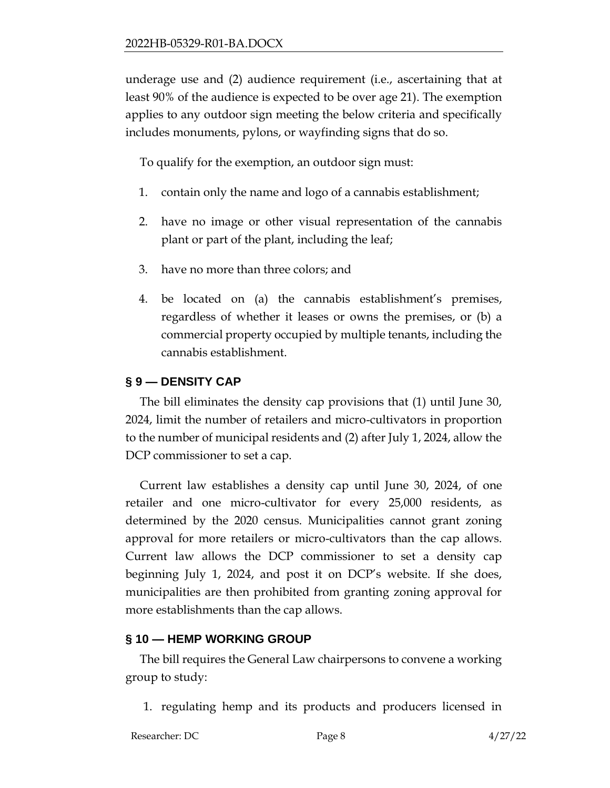underage use and (2) audience requirement (i.e., ascertaining that at least 90% of the audience is expected to be over age 21). The exemption applies to any outdoor sign meeting the below criteria and specifically includes monuments, pylons, or wayfinding signs that do so.

To qualify for the exemption, an outdoor sign must:

- 1. contain only the name and logo of a cannabis establishment;
- 2. have no image or other visual representation of the cannabis plant or part of the plant, including the leaf;
- 3. have no more than three colors; and
- 4. be located on (a) the cannabis establishment's premises, regardless of whether it leases or owns the premises, or (b) a commercial property occupied by multiple tenants, including the cannabis establishment.

## **§ 9 — DENSITY CAP**

The bill eliminates the density cap provisions that (1) until June 30, 2024, limit the number of retailers and micro-cultivators in proportion to the number of municipal residents and (2) after July 1, 2024, allow the DCP commissioner to set a cap.

Current law establishes a density cap until June 30, 2024, of one retailer and one micro-cultivator for every 25,000 residents, as determined by the 2020 census. Municipalities cannot grant zoning approval for more retailers or micro-cultivators than the cap allows. Current law allows the DCP commissioner to set a density cap beginning July 1, 2024, and post it on DCP's website. If she does, municipalities are then prohibited from granting zoning approval for more establishments than the cap allows.

#### **§ 10 — HEMP WORKING GROUP**

The bill requires the General Law chairpersons to convene a working group to study:

1. regulating hemp and its products and producers licensed in

```
Researcher: DC Page 8 4/27/22
```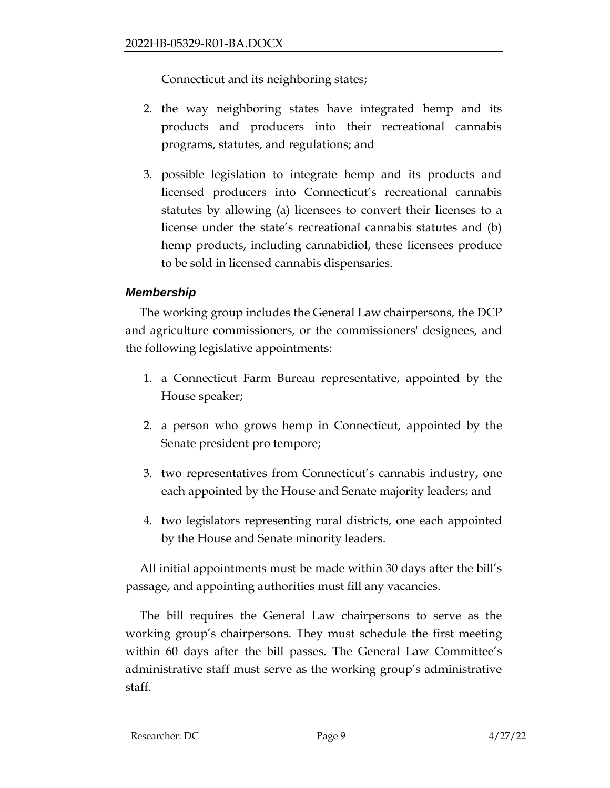Connecticut and its neighboring states;

- 2. the way neighboring states have integrated hemp and its products and producers into their recreational cannabis programs, statutes, and regulations; and
- 3. possible legislation to integrate hemp and its products and licensed producers into Connecticut's recreational cannabis statutes by allowing (a) licensees to convert their licenses to a license under the state's recreational cannabis statutes and (b) hemp products, including cannabidiol, these licensees produce to be sold in licensed cannabis dispensaries.

## *Membership*

The working group includes the General Law chairpersons, the DCP and agriculture commissioners, or the commissioners' designees, and the following legislative appointments:

- 1. a Connecticut Farm Bureau representative, appointed by the House speaker;
- 2. a person who grows hemp in Connecticut, appointed by the Senate president pro tempore;
- 3. two representatives from Connecticut's cannabis industry, one each appointed by the House and Senate majority leaders; and
- 4. two legislators representing rural districts, one each appointed by the House and Senate minority leaders.

All initial appointments must be made within 30 days after the bill's passage, and appointing authorities must fill any vacancies.

The bill requires the General Law chairpersons to serve as the working group's chairpersons. They must schedule the first meeting within 60 days after the bill passes. The General Law Committee's administrative staff must serve as the working group's administrative staff.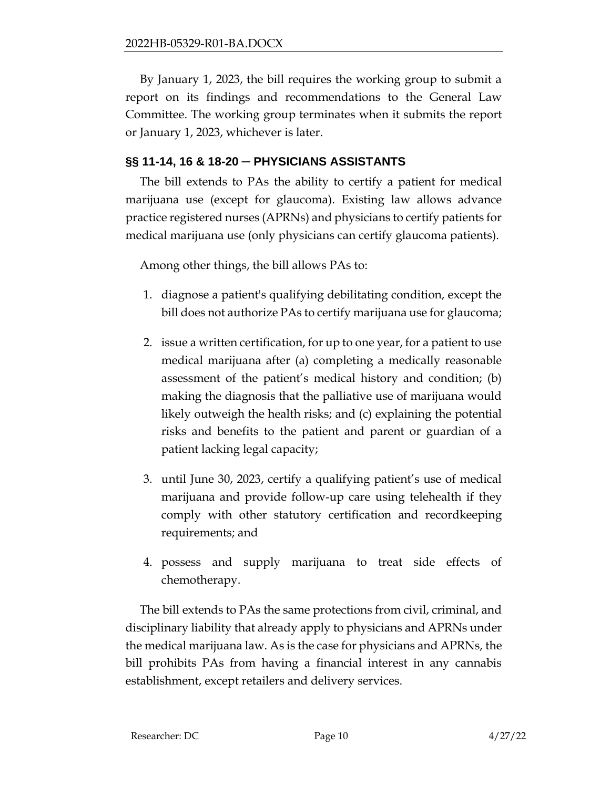By January 1, 2023, the bill requires the working group to submit a report on its findings and recommendations to the General Law Committee. The working group terminates when it submits the report or January 1, 2023, whichever is later.

## **§§ 11-14, 16 & 18-20 ─ PHYSICIANS ASSISTANTS**

The bill extends to PAs the ability to certify a patient for medical marijuana use (except for glaucoma). Existing law allows advance practice registered nurses (APRNs) and physicians to certify patients for medical marijuana use (only physicians can certify glaucoma patients).

Among other things, the bill allows PAs to:

- 1. diagnose a patient's qualifying debilitating condition, except the bill does not authorize PAs to certify marijuana use for glaucoma;
- 2. issue a written certification, for up to one year, for a patient to use medical marijuana after (a) completing a medically reasonable assessment of the patient's medical history and condition; (b) making the diagnosis that the palliative use of marijuana would likely outweigh the health risks; and (c) explaining the potential risks and benefits to the patient and parent or guardian of a patient lacking legal capacity;
- 3. until June 30, 2023, certify a qualifying patient's use of medical marijuana and provide follow-up care using telehealth if they comply with other statutory certification and recordkeeping requirements; and
- 4. possess and supply marijuana to treat side effects of chemotherapy.

The bill extends to PAs the same protections from civil, criminal, and disciplinary liability that already apply to physicians and APRNs under the medical marijuana law. As is the case for physicians and APRNs, the bill prohibits PAs from having a financial interest in any cannabis establishment, except retailers and delivery services.